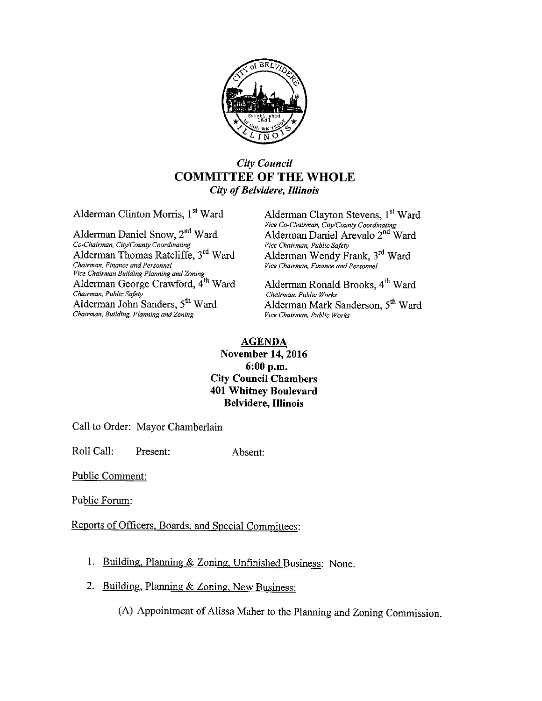

## City Council COMMITTEE OF THE WHOLE City of Belvidere, Illinois

Alderman Daniel Snow, 2<sup>nd</sup> Ward Co-Chairman, City/County Coordinating Vice Chairman, Public Safety Alderman Thomas Ratcliffe, 3<sup>rd</sup> Ward Chairman, Finance and Personnel Vice Chairman, Finance and Personnel Vice Chairman Building Planning and Zoning Alderman George Crawford,  $\tilde{A}^{th}$  Ward Alderman Ronald Brooks,  $4^{th}$  Ward Chairman, Public Safety Chairman, Public Safety<br>
Alderman John Sanders, 5<sup>th</sup> Ward<br>
Alderman Mark S Chairman, Building, Planning and Zoning

Alderman Clinton Morris, 1<sup>st</sup> Ward Alderman Clayton Stevens, 1<sup>st</sup> Ward *Vice Co-Chairman, City/County Coordinating*<br>Ward **Alderman Daniel Arevalo 2<sup>nd</sup> Ward** Alderman Wendy Frank, 3<sup>rd</sup> Ward<br>Vice Chairman, Finance and Personnel

Alderman Mark Sanderson, 5<sup>th</sup> Ward Vice Chairman, Public Works

## AGENDA November 14, 2016 6: 00 p.m. City Council Chambers 401 Whitney Boulevard Belvidere, Illinois

Call to Order: Mayor Chamberlain

Roll Call: Present: Absent:

Public Comment:

Public Forum:

Reports of Officers, Boards, and Special Committees:

- 1. Building, Planning & Zoning Unfinished Business: None.
- 2. Building, Planning & Zoning, New Business:

(A) Appointment of Alissa Maher to the Planning and Zoning Commission.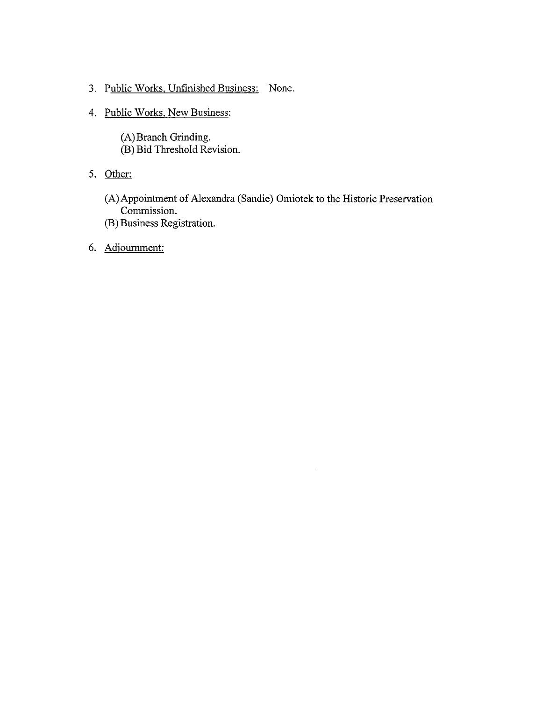- 3. Public Works, Unfinished Business: None.
- 4. Public Works, New Business:
	- A) Branch Grinding.
	- B) Bid Threshold Revision.
- 5. Other:
	- (A) Appointment of Alexandra (Sandie) Omiotek to the Historic Preservation Commission.
	- B) Business Registration.
- 6. Adjournment: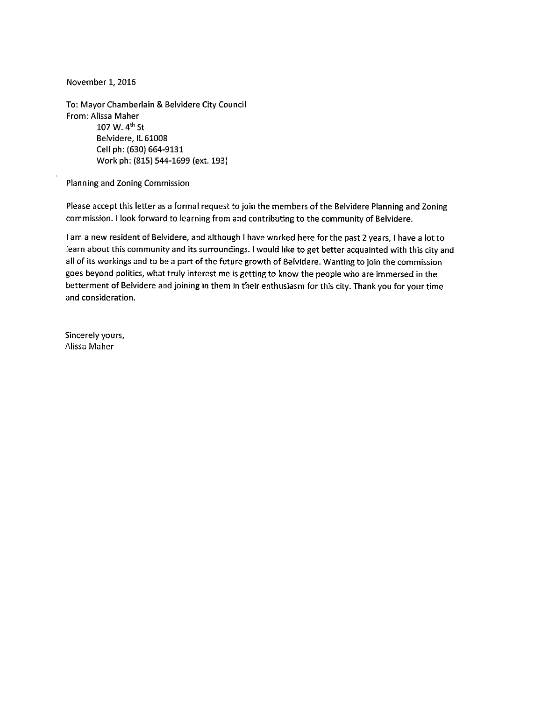November 1, 2016

To: Mayor Chamberlain& Belvidere City Council From: Alissa Maher 107 W. 4" St Belvidere, IL 61008 Cell ph: (630) 664-9131 Work ph: (815) 544-1699 (ext. 193)

Planning and Zoning Commission

Please accept this letter as <sup>a</sup> formal request to join the members of the Belvidere Planning and Zoning commission. I look forward to learning from and contributing to the community of Belvidere.

<sup>I</sup> am <sup>a</sup> new resident of Belvidere, and although <sup>I</sup> have worked here for the past <sup>2</sup> years, I have <sup>a</sup> lot to learn about this community and its surroundings. I would like to get better acquainted with this city and all of its workings and to be <sup>a</sup> part of the future growth of Belvidere. Wanting to join the commission goes beyond politics, what truly interest me is getting to know the people who are immersed in the betterment of Belvidere and joining in them in their enthusiasm for this city. Thank you for your time and consideration.

à.

Sincerely yours, Alissa Maher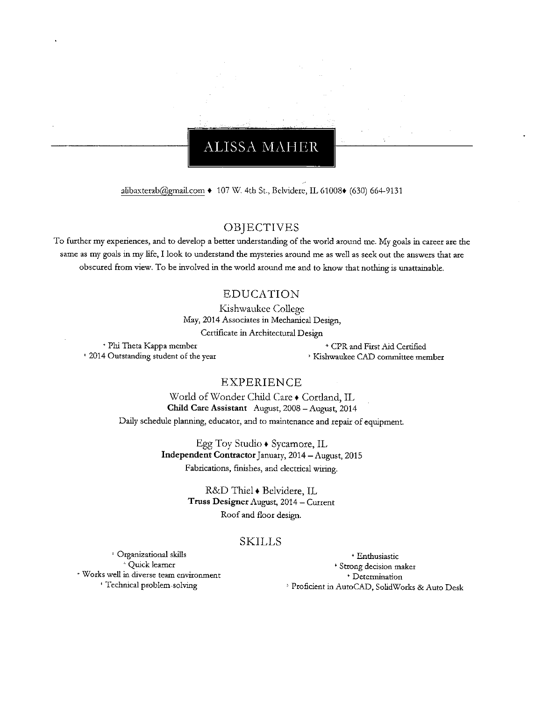## **ALISSA MAHER**

alibaxterab@gmail.com + 107 W. 4th St., Belvidere, IL 61008+ (630) 664-9131

## OBJECTIVES

To further my experiences, and to develop <sup>a</sup> better understanding of the world around me. My goals in career are the same as my goals in my life, I look to understand the mysteries around me as well as seek out the answers that are obscured from view. To be involved in the world around me and to know that nothing is unattainable.

### EDUCATION

Kishwaukee College May, 2014 Associates in Mechanical Design, Certificate in Architectural Design

\* Phi Theta Kappa member **CPR** and First Aid Certified \* 2014 Outstanding student of the year Yundebury Mishwaukee CAD committee member

## EXPERIENCE

World of Wonder Child Care . Cortland, IL Child Care Assistant August, 2008— August, 2014 Daily schedule planning, educator, and to maintenance and repair of equipment.

> Egg Toy Studio  $\bullet$  Sycamore, IL Independent Contractor January, 2014— August, 2015 Fabrications, finishes, and electrical wiring.

> > R& D 'Thiel• Belvidere, Il, Truss Designer August, 2014— Current Roof and floor design.

#### SKILLS

Organizational skills Enthusiastic \* Works well in diverse team environment<br>
+ Technical problem-solving

\* Strong decision maker<br> \* Determination <sup>9</sup> Proficient in AutoCAD, SolidWorks & Auto Desk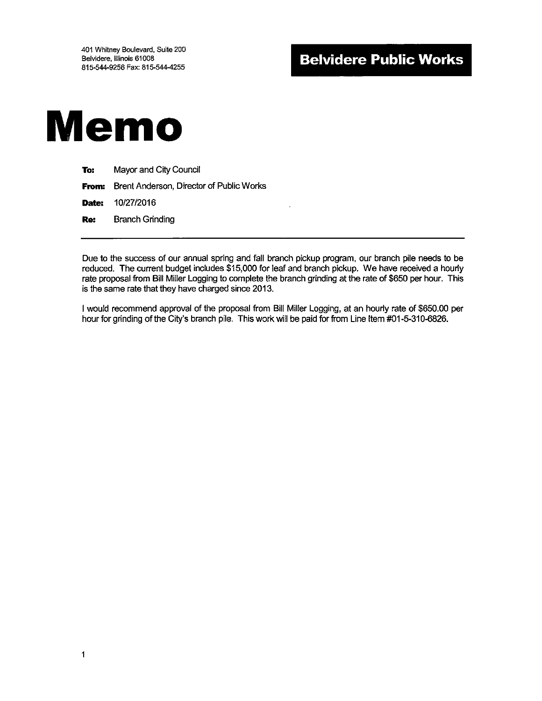

| To: | Mayor and City Council                                |
|-----|-------------------------------------------------------|
|     | <b>From:</b> Brent Anderson, Director of Public Works |
|     | <b>Date:</b> 10/27/2016                               |
| Re: | <b>Branch Grinding</b>                                |

Due to the success of our annual spring and fall branch pickup program, our branch pile needs to be reduced. The current budget includes \$15,000 for leaf and branch pickup. We have received a hourly rate proposal from Bill Miller Logging to complete the branch grinding at the rate of \$650 per hour. This is the same rate that they have charged since 2013.

I would recommend approval of the proposal from Bill Miller Logging, at an hourly rate of \$650.00 per hour for grinding of the City's branch pile. This work will be paid for from Line Item #01-5-310-6826.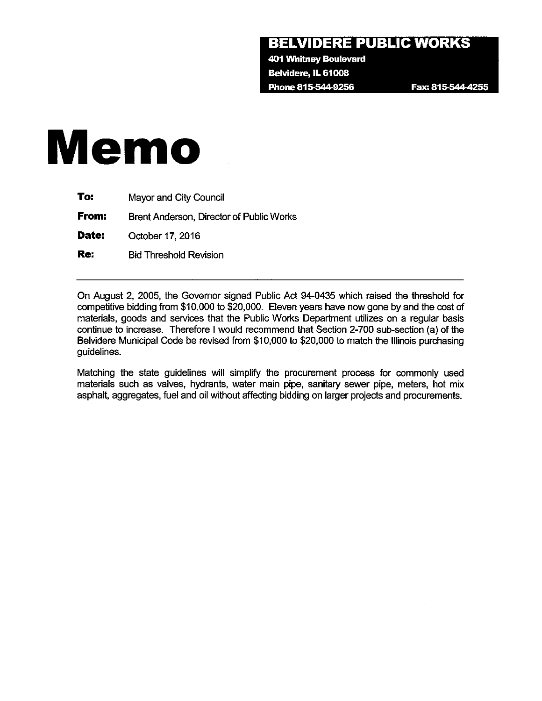## BELVIDERE PUBLIC WORKS

401 Whitney Boulevard Belvidere, IL 61008 Phone 815-544-9256 Fax: 815-544-4255

# Memo

| To:   | Mayor and City Council                   |
|-------|------------------------------------------|
| From: | Brent Anderson, Director of Public Works |
| Date: | October 17, 2016                         |
| Re:   | <b>Bid Threshold Revision</b>            |

On August 2, 2005, the Governor signed Public Act 94-0435 which raised the threshold for competitive bidding from \$10,000 to \$20,000. Eleven years have now gone by and the cost of materials, goods and services that the Public Works Department utilizes on a regular basis continue to increase. Therefore I would recommend that Section 2-700 sub-section (a) of the Belvidere Municipal Code be revised from \$10,000 to \$20,000 to match the Illinois purchasing guidelines.

Matching the state guidelines will simplify the procurement process for commonly used materials such as valves, hydrants, water main pipe, sanitary sewer pipe, meters, hot mix asphalt, aggregates, fuel and oil without affecting bidding on larger projects and procurements.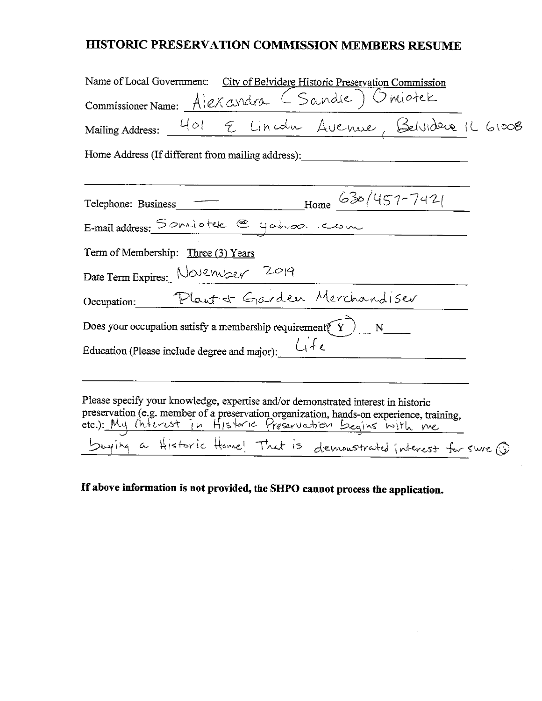## HISTORIC PRESERVATION COMMISSION MEMBERS RESUME

| Name of Local Government: City of Belvidere Historic Preservation Commission                                                                                                                                                             |  |  |  |  |
|------------------------------------------------------------------------------------------------------------------------------------------------------------------------------------------------------------------------------------------|--|--|--|--|
|                                                                                                                                                                                                                                          |  |  |  |  |
| Commissioner Name: Alexandra (Sandie) Omiotek<br>Mailing Address: 401 & Lincoln Avenue, Belvideux 166008                                                                                                                                 |  |  |  |  |
| Home Address (If different from mailing address):                                                                                                                                                                                        |  |  |  |  |
|                                                                                                                                                                                                                                          |  |  |  |  |
| Telephone: Business _______________________Home $630/457-742$                                                                                                                                                                            |  |  |  |  |
| E-mail address: 5 oniotek @ yahoo. com                                                                                                                                                                                                   |  |  |  |  |
| Term of Membership: Three (3) Years                                                                                                                                                                                                      |  |  |  |  |
| Date Term Expires: November 2019                                                                                                                                                                                                         |  |  |  |  |
| Occupation. Plant & Garden Merchandiser                                                                                                                                                                                                  |  |  |  |  |
| Does your occupation satisfy a membership requirement $\widetilde{Y}$ $N$ $N$                                                                                                                                                            |  |  |  |  |
| Education (Please include degree and major): $\bigcup_{i} f_{e}$                                                                                                                                                                         |  |  |  |  |
|                                                                                                                                                                                                                                          |  |  |  |  |
| Please specify your knowledge, expertise and/or demonstrated interest in historic<br>preservation (e.g. member of a preservation organization, hands-on experience, training, etc.): My (hterest in Historic Preservation Begins with me |  |  |  |  |
| buying a Historic Home! That is demonstrated interest for sure (i)                                                                                                                                                                       |  |  |  |  |

## If above information is not provided, the SHPO cannot process the application.

 $\sim$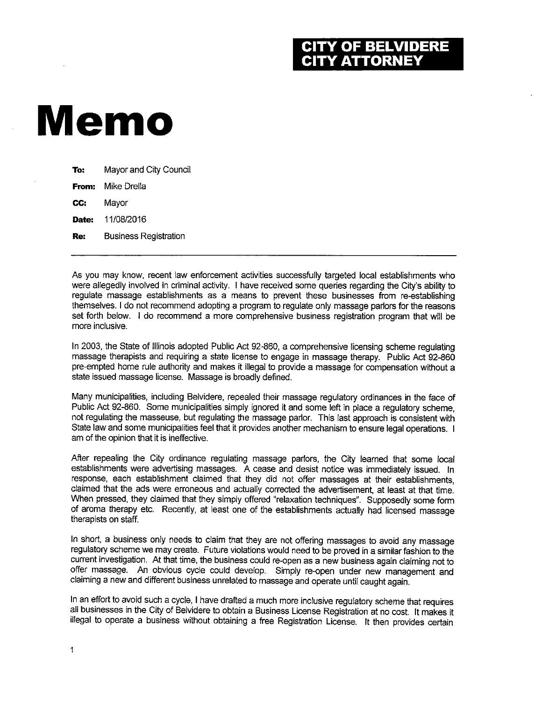## **OF BELVIDERE Y ATTORNEY**

## Memo

| To:   | Mayor and City Council       |
|-------|------------------------------|
| From: | Mike Drella                  |
| CC:   | Mayor                        |
| Date: | 11/08/2016                   |
| Re:   | <b>Business Registration</b> |
|       |                              |

As you may know, recent law enforcement activities successfully targeted local establishments who were allegedly involved in criminal activity. I have received some queries regarding the City's ability to regulate massage establishments as a means to prevent these businesses from re-establishing themselves. I do not recommend adopting a program to regulate only massage parlors for the reasons set forth below. I do recommend a more comprehensive business registration program that will be more inclusive.

In 2003, the State of Illinois adopted Public Act 92-860, a comprehensive licensing scheme regulating massage therapists and requiring a state license to engage in massage therapy. Public Act 92-860 pre-empted home rule authority and makes it illegal to provide a massage for compensation without a state issued massage license. Massage is broadly defined.

Many municipalities, including Belvidere, repealed their massage regulatory ordinances in the face of Public Act 92-860. Some municipalities simply ignored it and some left in place a regulatory scheme, not regulating the masseuse, but regulating the massage parlor. This last approach is consistent with State law and some municipalities feel that it provides another mechanism to ensure legal operations. I am of the opinion that it is ineffective.

After repealing the City ordinance regulating massage parlors, the City learned that some local establishments were advertising massages. A cease and desist notice was immediately issued. In response, each establishment claimed that they did not offer massages at their establishments, claimed that the ads were erroneous and actually corrected the advertisement, at least at that time. When pressed, they claimed that they simply offered "relaxation techniques". Supposedly some form of aroma therapy etc. Recently, at least one of the establishments actually had licensed massage therapists on staff.

In short, a business only needs to claim that they are not offering massages to avoid any massage regulatory scheme we may create. Future violations would need to be proved in a similar fashion to the current investigation. At that time, the business could re-open as a new business again claiming not to offer massage. An obvious cycle could develop. Simply re-open under new management and claiming a new and different business unrelated to massage and operate until caught again.

In an effort to avoid such a cycle, I have drafted a much more inclusive regulatory scheme that requires all businesses in the City of Belvidere to obtain a Business License Registration at no cost. It makes it illegal to operate a business without obtaining a free Registration License. It then provides certain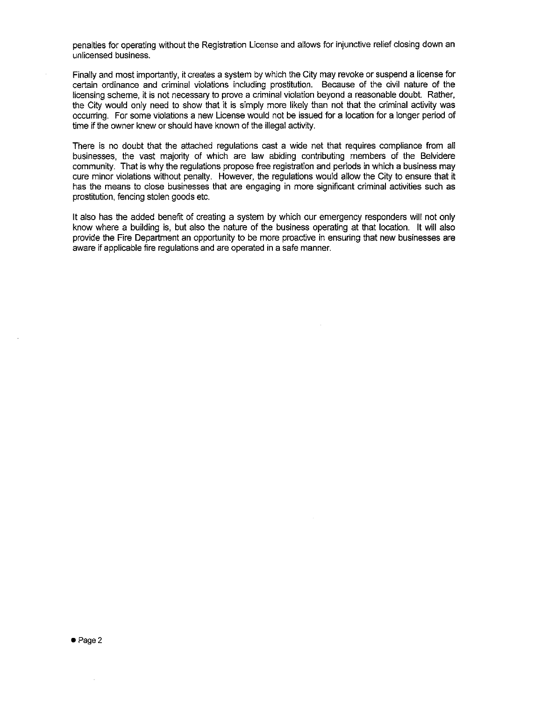penalties for operating without the Registration License and allows for injunctive relief closing down an unlicensed business.

Finally and most importantly, it creates a system by which the City may revoke or suspend a license for certain ordinance and criminal violations including prostitution. Because of the civil nature of the licensing scheme, it is not necessary to prove a criminal violation beyond a reasonable doubt. Rather, the City would only need to show that it is simply more likely than not that the criminal activity was occurring. For some violations a new License would not be issued for a location for a longer period of time if the owner knew or should have known of the illegal activity.

There is no doubt that the attached regulations cast a wide net that requires compliance from all businesses, the vast majority of which are law abiding contributing members of the Belvidere community. That is why the regulations propose free registration and periods in which a business may cure minor violations without penalty. However, the regulations would allow the City to ensure that it has the means to close businesses that are engaging in more significant criminal activities such as prostitution, fencing stolen goods etc.

It also has the added benefit of creating a system by which our emergency responders will not only know where a building is, but also the nature of the business operating at that location. It will also provide the Fire Department an opportunity to be more proactive in ensuring that new businesses are aware if applicable fire regulations and are operated in a safe manner.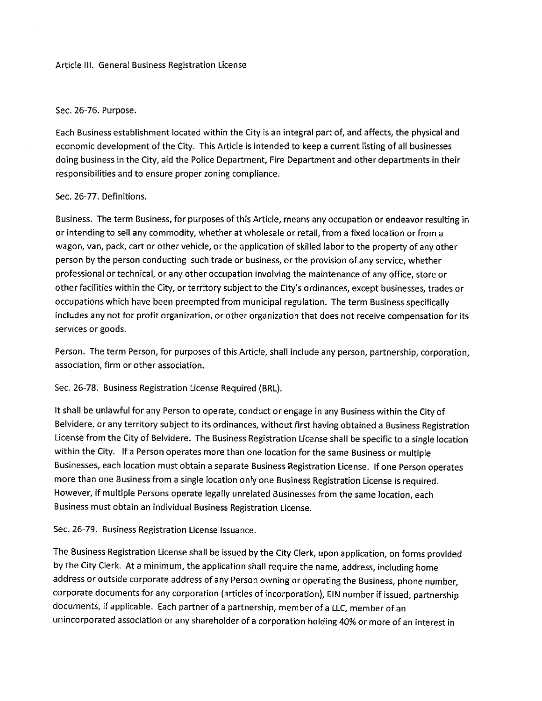#### Article III. General Business Registration License

#### Sec. 26-76. Purpose.

Each Business establishment located within the City is an integral part of, and affects, the physical and economic development of the City. This Article is intended to keep <sup>a</sup> current listing of all businesses doing business in the City, aid the Police Department, Fire Department and other departments in their responsibilities and to ensure proper zoning compliance.

#### Sec. 26-77. Definitions.

Business. The term Business, for purposes of this Article, means any occupation or endeavor resulting in or intending to sell any commodity, whether at wholesale or retail, from <sup>a</sup> fixed location or from a wagon, van, pack, cart or other vehicle, or the application of skilled labor to the property of any other person by the person conducting such trade or business, or the provision of any service, whether professional or technical, or any other occupation involving the maintenance of any office, store or other facilities within the City, or territory subject to the City' <sup>s</sup> ordinances, except businesses, trades or occupations which have been preempted from municipal regulation. The term Business specifically includes any not for profit organization, or other organization that does not receive compensation for its services or goods.

Person. The term Person, for purposes of this Article, shall include any person, partnership, corporation, association, firm or other association.

Sec. 26-78. Business Registration License Required (BRL).

It shall be unlawful for any Person to operate, conduct or engage in any Business within the City of Belvidere, or any territory subject to its ordinances, without first having obtained a Business Registration License from the City of Belvidere. The Business Registration License shall be specific to <sup>a</sup> single location within the City. If a Person operates more than one location for the same Business or multiple Businesses, each location must obtain a separate Business Registration License. If one Person operates more than one Business from <sup>a</sup> single location only one Business Registration License is required. However, if multiple Persons operate legally unrelated Businesses from the same location, each Business must obtain an individual Business Registration License.

Sec. 26-79. Business Registration License Issuance.

The Business Registration License shall be issued by the City Clerk, upon application, on forms provided by the City Clerk. At <sup>a</sup> minimum, the application shall require the name, address, including home address or outside corporate address of any Person owning or operating the Business, phone number, corporate documents for any corporation (articles of incorporation), EIN number if issued, partnership documents, if applicable. Each partner of <sup>a</sup> partnership, member of <sup>a</sup> LLC, member of an unincorporated association or any shareholder of <sup>a</sup> corporation holding 40% or more of an interest in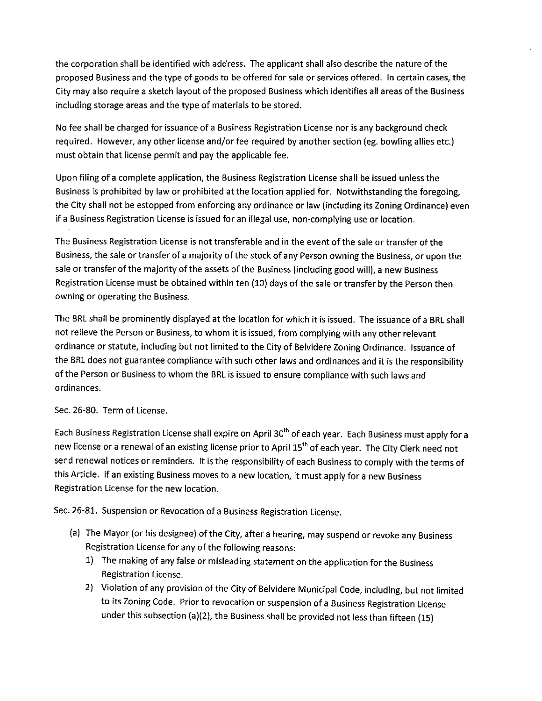the corporation shall be identified with address. The applicant shall also describe the nature of the proposed Business and the type of goods to be offered for sale or services offered. In certain cases, the City may also require <sup>a</sup> sketch layout of the proposed Business which identifies all areas of the Business including storage areas and the type of materials to be stored.

No fee shall be charged for issuance of <sup>a</sup> Business Registration License nor is any background check required. However, any other license and/or fee required by another section (eg. bowling allies etc.) must obtain that license permit and pay the applicable fee.

Upon filing of <sup>a</sup> complete application, the Business Registration License shall be issued unless the Business is prohibited by law or prohibited at the location applied for. Notwithstanding the foregoing, the City shall not be estopped from enforcing any ordinance or law( including its Zoning Ordinance) even if <sup>a</sup> Business Registration License is issued for an illegal use, non-complying use or location.

The Business Registration License is not transferable and in the event of the sale or transfer of the Business, the sale or transfer of <sup>a</sup> majority of the stock of any Person owning the Business, or upon the sale or transfer of the majority of the assets of the Business ( including good will), <sup>a</sup> new Business Registration License must be obtained within ten ( 10) days of the sale or transfer by the Person then owning or operating the Business.

The BRL shall be prominently displayed at the location for which it is issued. The issuance of <sup>a</sup> BRL shall not relieve the Person or Business, to whom it is issued, from complying with any other relevant ordinance or statute, including but not limited to the City of Belvidere Zoning Ordinance. Issuance of the BRL does not guarantee compliance with such other laws and ordinances and it is the responsibility of the Person or Business to whom the BRL is issued to ensure compliance with such laws and ordinances.

### Sec. 26-80. Term of License.

Each Business Registration License shall expire on April 30<sup>th</sup> of each year. Each Business must apply for a new license or a renewal of an existing license prior to April 15<sup>th</sup> of each year. The City Clerk need not send renewal notices or reminders. It is the responsibility of each Business to comply with the terms of this Article. If an existing Business moves to <sup>a</sup> new location, it must apply for <sup>a</sup> new Business Registration License for the new location.

Sec. 26-81. Suspension or Revocation of a Business Registration License.

- (a) The Mayor (or his designee) of the City, after a hearing, may suspend or revoke any Business Registration License for any of the following reasons:
	- 1) The making of any false or misleading statement on the application for the Business Registration License.
	- 2) Violation of any provision of the City of Belvidere Municipal Code, including, but not limited to its Zoning Code. Prior to revocation or suspension of a Business Registration License under this subsection (a)(2), the Business shall be provided not less than fifteen (15)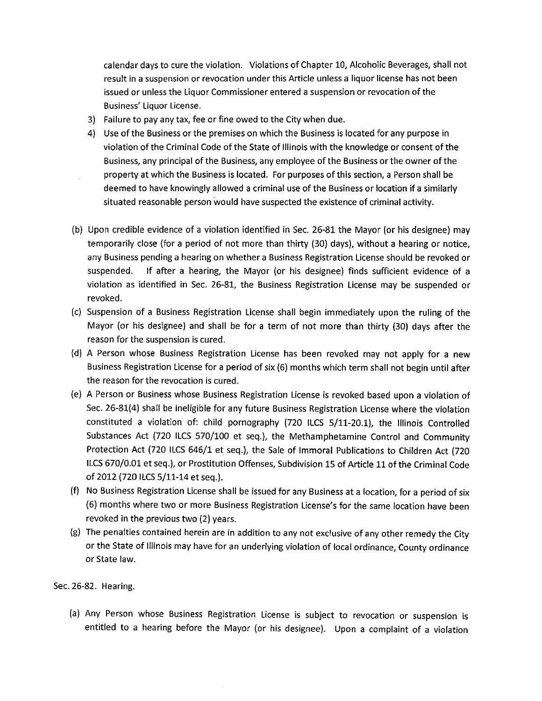calendar days to cure the violation. Violations of Chapter 10, Alcoholic Beverages, shall not result in <sup>a</sup> suspension or revocation under this Article unless <sup>a</sup> liquor license has not been issued or unless the Liquor Commissioner entered <sup>a</sup> suspension or revocation of the Business' Liquor License.

- 3) Failure to pay any tax, fee or fine owed to the City when due.
- 4) Use of the Business or the premises on which the Business is located for any purpose in violation of the Criminal Code of the State of Illinois with the knowledge or consent of the Business, any principal of the Business, any employee of the Business or the owner of the property at which the Business is located. For purposes of this section, a Person shall be deemed to have knowingly allowed <sup>a</sup> criminal use of the Business or location if <sup>a</sup> similarly situated reasonable person would have suspected the existence of criminal activity.
- b) Upon credible evidence of a violation identified in Sec. 26-81 the Mayor (or his designee) may temporarily close ( for <sup>a</sup> period of not more than thirty (30) days), without <sup>a</sup> hearing or notice, any Business pending <sup>a</sup> hearing on whether a Business Registration License should be revoked or suspended. If after a hearing, the Mayor (or his designee) finds sufficient evidence of a violation as identified in Sec. 26-81, the Business Registration License may be suspended or revoked.
- c) Suspension of <sup>a</sup> Business Registration License shall begin immediately upon the ruling of the Mayor (or his designee) and shall be for a term of not more than thirty (30) days after the reason for the suspension is cured.
- d) A Person whose Business Registration License has been revoked may not apply for <sup>a</sup> new Business Registration License for a period of six( 6) months which term shall not begin until after the reason for the revocation is cured.
- e) A Person or Business whose Business Registration License is revoked based upon a violation of Sec. 26-81(4) shall be ineligible for any future Business Registration License where the violation constituted a violation of: child pornography (720 ILCS 5/11-20.1), the Illinois Controlled Substances Act (720 ILCS 570/100 et seq.), the Methamphetamine Control and Community Protection Act (720 ILCS 646/1 et seq.), the Sale of Immoral Publications to Children Act (720 ILCS 670/0.01 et seq.), or Prostitution Offenses, Subdivision 15 of Article 11 of the Criminal Code of 2012 (720 ILCS 5/11-14 et seq.).
- f) No Business Registration License shall be issued for any Business at <sup>a</sup> location, for <sup>a</sup> period of six (6) months where two or more Business Registration License's for the same location have been revoked in the previous two (2) years.
- g) The penalties contained herein are in addition to any not exclusive of any other remedy the City or the State of Illinois may have for an underlying violation of local ordinance, County ordinance or State law.

Sec. 26-82. Hearing.

a) Any Person whose Business Registration License is subject to revocation or suspension is entitled to a hearing before the Mayor (or his designee). Upon a complaint of a violation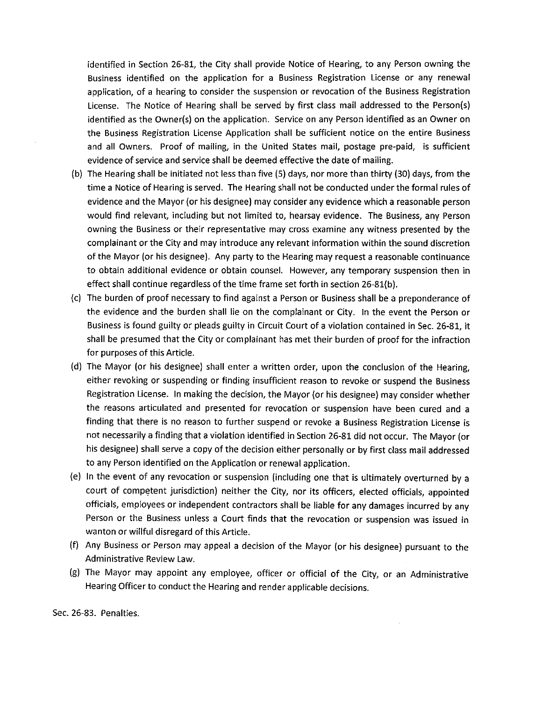identified in Section 26-81, the City shall provide Notice of Hearing, to any Person owning the Business identified on the application for <sup>a</sup> Business Registration License or any renewal application, of <sup>a</sup> hearing to consider the suspension or revocation of the Business Registration License. The Notice of Hearing shall be served by first class mail addressed to the Person(s) identified as the Owner(s) on the application. Service on any Person identified as an Owner on the Business Registration License Application shall be sufficient notice on the entire Business and all Owners. Proof of mailing, in the United States mail, postage pre-paid, is sufficient evidence of service and service shall be deemed effective the date of mailing.

- b) The Hearing shall be initiated not less than five (5) days, nor more than thirty( 30) days, from the time <sup>a</sup> Notice of Hearing is served. The Hearing shall not be conducted under the formal rules of evidence and the Mayor( or his designee) may consider any evidence which a reasonable person would find relevant, including but not limited to, hearsay evidence. The Business, any Person owning the Business or their representative may cross examine any witness presented by the complainant or the City and may introduce any relevant information within the sound discretion of the Mayor (or his designee). Any party to the Hearing may request <sup>a</sup> reasonable continuance to obtain additional evidence or obtain counsel. However, any temporary suspension then in effect shall continue regardless of the time frame set forth in section 26-81(b).
- c) The burden of proof necessary to find against a Person or Business shall be a preponderance of the evidence and the burden shall lie on the complainant or City. In the event the Person or Business is found guilty or pleads guilty in Circuit Court of <sup>a</sup> violation contained in Sec. 26-81, it shall be presumed that the City or complainant has met their burden of proof for the infraction for purposes of this Article.
- d) The Mayor ( or his designee) shall enter <sup>a</sup> written order, upon the conclusion of the Hearing, either revoking or suspending or finding insufficient reason to revoke or suspend the Business Registration License. In making the decision, the Mayor( or his designee) may consider whether the reasons articulated and presented for revocation or suspension have been cured and <sup>a</sup> finding that there is no reason to further suspend or revoke a Business Registration License is not necessarily <sup>a</sup> finding that <sup>a</sup> violation identified in Section 26-81 did not occur. The Mayor( or his designee) shall serve <sup>a</sup> copy of the decision either personally or by first class mail addressed to any Person identified on the Application or renewal application.
- e) In the event of any revocation or suspension ( including one that is ultimately overturned by <sup>a</sup> court of competent jurisdiction) neither the City, nor its officers, elected officials, appointed officials, employees or independent contractors shall be liable for any damages incurred by any Person or the Business unless <sup>a</sup> Court finds that the revocation or suspension was issued in wanton or willful disregard of this Article.
- f) Any Business or Person may appeal <sup>a</sup> decision of the Mayor (or his designee) pursuant to the Administrative Review Law.
- g) The Mayor may appoint any employee, officer or official of the City, or an Administrative Hearing Officer to conduct the Hearing and render applicable decisions.

Sec. 26-83. Penalties.